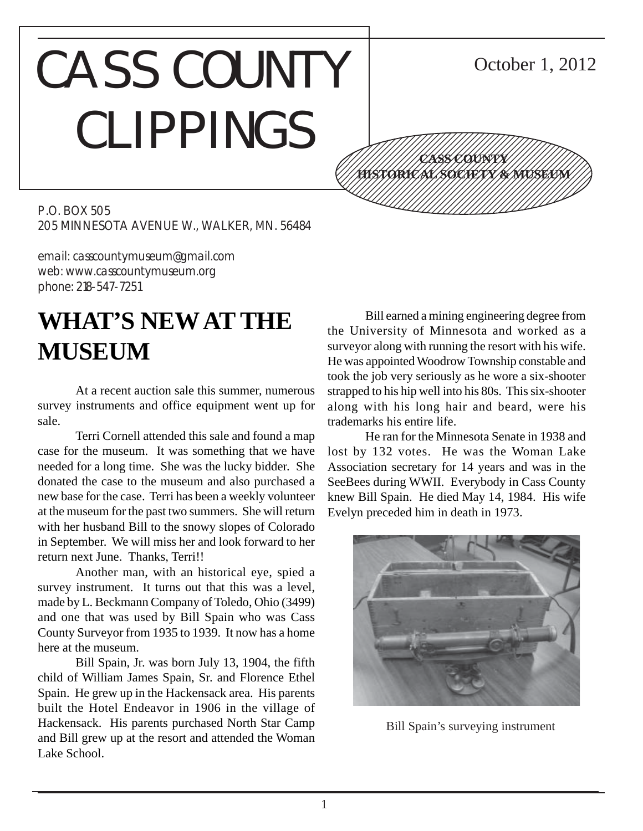# CASS COUNTY CLIPPINGS



October 1, 2012

P.O. BOX 505 205 MINNESOTA AVENUE W., WALKER, MN. 56484

email: casscountymuseum@gmail.com web: www.casscountymuseum.org phone: 218-547-7251

## **WHAT'S NEW AT THE MUSEUM**

At a recent auction sale this summer, numerous survey instruments and office equipment went up for sale.

Terri Cornell attended this sale and found a map case for the museum. It was something that we have needed for a long time. She was the lucky bidder. She donated the case to the museum and also purchased a new base for the case. Terri has been a weekly volunteer at the museum for the past two summers. She will return with her husband Bill to the snowy slopes of Colorado in September. We will miss her and look forward to her return next June. Thanks, Terri!!

Another man, with an historical eye, spied a survey instrument. It turns out that this was a level, made by L. Beckmann Company of Toledo, Ohio (3499) and one that was used by Bill Spain who was Cass County Surveyor from 1935 to 1939. It now has a home here at the museum.

Bill Spain, Jr. was born July 13, 1904, the fifth child of William James Spain, Sr. and Florence Ethel Spain. He grew up in the Hackensack area. His parents built the Hotel Endeavor in 1906 in the village of Hackensack. His parents purchased North Star Camp and Bill grew up at the resort and attended the Woman Lake School.

Bill earned a mining engineering degree from the University of Minnesota and worked as a surveyor along with running the resort with his wife. He was appointed Woodrow Township constable and took the job very seriously as he wore a six-shooter strapped to his hip well into his 80s. This six-shooter along with his long hair and beard, were his trademarks his entire life.

He ran for the Minnesota Senate in 1938 and lost by 132 votes. He was the Woman Lake Association secretary for 14 years and was in the SeeBees during WWII. Everybody in Cass County knew Bill Spain. He died May 14, 1984. His wife Evelyn preceded him in death in 1973.



Bill Spain's surveying instrument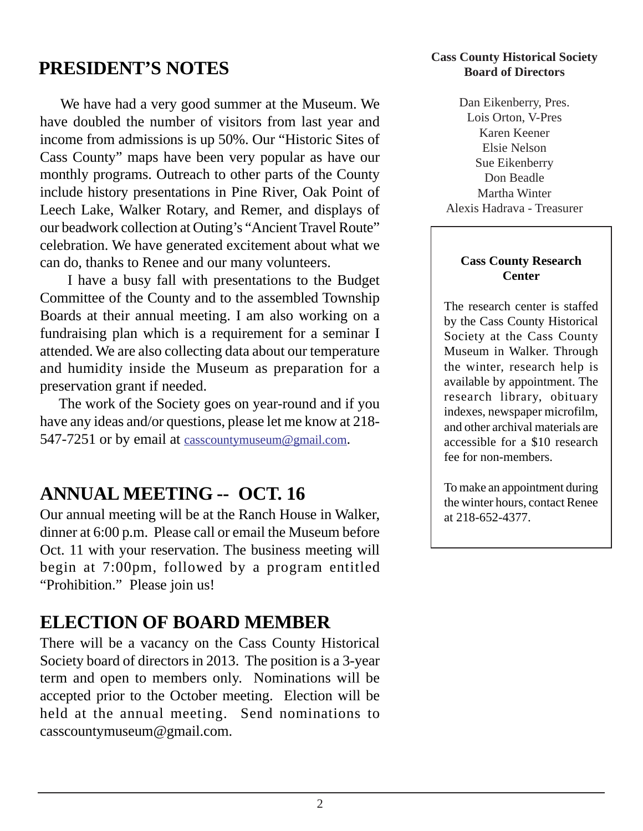## **PRESIDENT'S NOTES**

 We have had a very good summer at the Museum. We have doubled the number of visitors from last year and income from admissions is up 50%. Our "Historic Sites of Cass County" maps have been very popular as have our monthly programs. Outreach to other parts of the County include history presentations in Pine River, Oak Point of Leech Lake, Walker Rotary, and Remer, and displays of our beadwork collection at Outing's "Ancient Travel Route" celebration. We have generated excitement about what we can do, thanks to Renee and our many volunteers.

 I have a busy fall with presentations to the Budget Committee of the County and to the assembled Township Boards at their annual meeting. I am also working on a fundraising plan which is a requirement for a seminar I attended. We are also collecting data about our temperature and humidity inside the Museum as preparation for a preservation grant if needed.

 The work of the Society goes on year-round and if you have any ideas and/or questions, please let me know at 218- 547-7251 or by email at casscountymuseum@gmail.com.

## **ANNUAL MEETING -- OCT. 16**

Our annual meeting will be at the Ranch House in Walker, dinner at 6:00 p.m. Please call or email the Museum before Oct. 11 with your reservation. The business meeting will begin at 7:00pm, followed by a program entitled "Prohibition." Please join us!

## **ELECTION OF BOARD MEMBER**

There will be a vacancy on the Cass County Historical Society board of directors in 2013. The position is a 3-year term and open to members only. Nominations will be accepted prior to the October meeting. Election will be held at the annual meeting. Send nominations to casscountymuseum@gmail.com.

#### **Cass County Historical Society Board of Directors**

Dan Eikenberry, Pres. Lois Orton, V-Pres Karen Keener Elsie Nelson Sue Eikenberry Don Beadle Martha Winter Alexis Hadrava - Treasurer

#### **Cass County Research Center**

The research center is staffed by the Cass County Historical Society at the Cass County Museum in Walker. Through the winter, research help is available by appointment. The research library, obituary indexes, newspaper microfilm, and other archival materials are accessible for a \$10 research fee for non-members.

To make an appointment during the winter hours, contact Renee at 218-652-4377.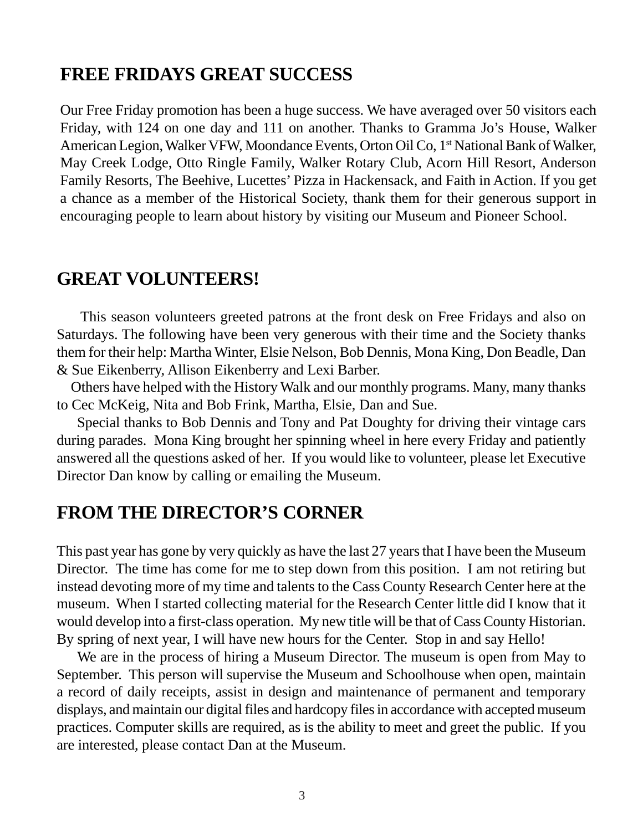### **FREE FRIDAYS GREAT SUCCESS**

Our Free Friday promotion has been a huge success. We have averaged over 50 visitors each Friday, with 124 on one day and 111 on another. Thanks to Gramma Jo's House, Walker American Legion, Walker VFW, Moondance Events, Orton Oil Co, 1<sup>st</sup> National Bank of Walker, May Creek Lodge, Otto Ringle Family, Walker Rotary Club, Acorn Hill Resort, Anderson Family Resorts, The Beehive, Lucettes' Pizza in Hackensack, and Faith in Action. If you get a chance as a member of the Historical Society, thank them for their generous support in encouraging people to learn about history by visiting our Museum and Pioneer School.

#### **GREAT VOLUNTEERS!**

 This season volunteers greeted patrons at the front desk on Free Fridays and also on Saturdays. The following have been very generous with their time and the Society thanks them for their help: Martha Winter, Elsie Nelson, Bob Dennis, Mona King, Don Beadle, Dan & Sue Eikenberry, Allison Eikenberry and Lexi Barber.

 Others have helped with the History Walk and our monthly programs. Many, many thanks to Cec McKeig, Nita and Bob Frink, Martha, Elsie, Dan and Sue.

 Special thanks to Bob Dennis and Tony and Pat Doughty for driving their vintage cars during parades. Mona King brought her spinning wheel in here every Friday and patiently answered all the questions asked of her. If you would like to volunteer, please let Executive Director Dan know by calling or emailing the Museum.

## **FROM THE DIRECTOR'S CORNER**

This past year has gone by very quickly as have the last 27 years that I have been the Museum Director. The time has come for me to step down from this position. I am not retiring but instead devoting more of my time and talents to the Cass County Research Center here at the museum. When I started collecting material for the Research Center little did I know that it would develop into a first-class operation. My new title will be that of Cass County Historian. By spring of next year, I will have new hours for the Center. Stop in and say Hello!

 We are in the process of hiring a Museum Director. The museum is open from May to September. This person will supervise the Museum and Schoolhouse when open, maintain a record of daily receipts, assist in design and maintenance of permanent and temporary displays, and maintain our digital files and hardcopy files in accordance with accepted museum practices. Computer skills are required, as is the ability to meet and greet the public. If you are interested, please contact Dan at the Museum.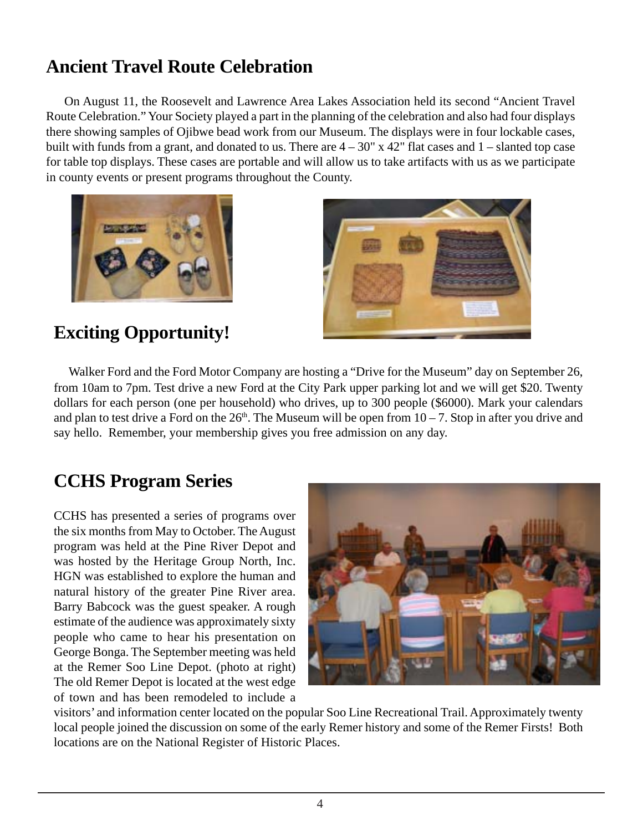## **Ancient Travel Route Celebration**

 On August 11, the Roosevelt and Lawrence Area Lakes Association held its second "Ancient Travel Route Celebration." Your Society played a part in the planning of the celebration and also had four displays there showing samples of Ojibwe bead work from our Museum. The displays were in four lockable cases, built with funds from a grant, and donated to us. There are  $4 - 30$ " x 42" flat cases and  $1 -$  slanted top case for table top displays. These cases are portable and will allow us to take artifacts with us as we participate in county events or present programs throughout the County.





## **Exciting Opportunity!**

 Walker Ford and the Ford Motor Company are hosting a "Drive for the Museum" day on September 26, from 10am to 7pm. Test drive a new Ford at the City Park upper parking lot and we will get \$20. Twenty dollars for each person (one per household) who drives, up to 300 people (\$6000). Mark your calendars and plan to test drive a Ford on the  $26<sup>th</sup>$ . The Museum will be open from  $10 - 7$ . Stop in after you drive and say hello. Remember, your membership gives you free admission on any day.

## **CCHS Program Series**

CCHS has presented a series of programs over the six months from May to October. The August program was held at the Pine River Depot and was hosted by the Heritage Group North, Inc. HGN was established to explore the human and natural history of the greater Pine River area. Barry Babcock was the guest speaker. A rough estimate of the audience was approximately sixty people who came to hear his presentation on George Bonga. The September meeting was held at the Remer Soo Line Depot. (photo at right) The old Remer Depot is located at the west edge of town and has been remodeled to include a



visitors' and information center located on the popular Soo Line Recreational Trail. Approximately twenty local people joined the discussion on some of the early Remer history and some of the Remer Firsts! Both locations are on the National Register of Historic Places.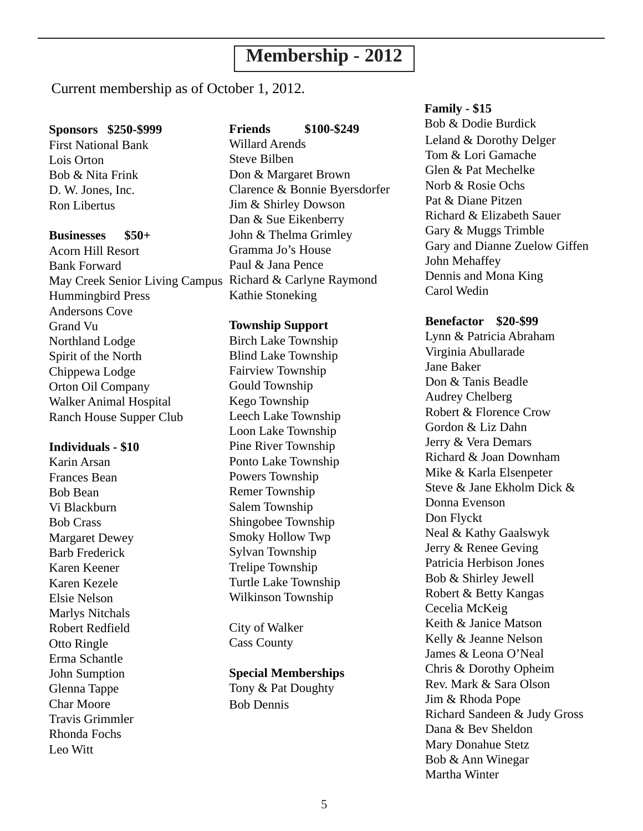## **Membership - 2012**

Current membership as of October 1, 2012.

#### **Sponsors \$250-\$999**

First National Bank Lois Orton Bob & Nita Frink D. W. Jones, Inc. Ron Libertus

#### **Businesses \$50+**

Acorn Hill Resort Bank Forward May Creek Senior Living Campus Richard & Carlyne Raymond Hummingbird Press Andersons Cove Grand Vu Northland Lodge Spirit of the North Chippewa Lodge Orton Oil Company Walker Animal Hospital Ranch House Supper Club

#### **Individuals - \$10**

Karin Arsan Frances Bean Bob Bean Vi Blackburn Bob Crass Margaret Dewey Barb Frederick Karen Keener Karen Kezele Elsie Nelson Marlys Nitchals Robert Redfield Otto Ringle Erma Schantle John Sumption Glenna Tappe Char Moore Travis Grimmler Rhonda Fochs Leo Witt

#### **Friends \$100-\$249**

Willard Arends Steve Bilben Don & Margaret Brown Clarence & Bonnie Byersdorfer Jim & Shirley Dowson Dan & Sue Eikenberry John & Thelma Grimley Gramma Jo's House Paul & Jana Pence Kathie Stoneking

#### **Township Support**

Birch Lake Township Blind Lake Township Fairview Township Gould Township Kego Township Leech Lake Township Loon Lake Township Pine River Township Ponto Lake Township Powers Township Remer Township Salem Township Shingobee Township Smoky Hollow Twp Sylvan Township Trelipe Township Turtle Lake Township Wilkinson Township

City of Walker Cass County

#### **Special Memberships**

Tony & Pat Doughty Bob Dennis

#### **Family - \$15**

Leland & Dorothy Delger Tom & Lori Gamache Glen & Pat Mechelke Norb & Rosie Ochs Pat & Diane Pitzen Richard & Elizabeth Sauer Gary & Muggs Trimble Gary and Dianne Zuelow Giffen John Mehaffey Dennis and Mona King Carol Wedin Bob & Dodie Burdick

#### **Benefactor \$20-\$99**

Lynn & Patricia Abraham Virginia Abullarade Jane Baker Don & Tanis Beadle Audrey Chelberg Robert & Florence Crow Gordon & Liz Dahn Jerry & Vera Demars Richard & Joan Downham Mike & Karla Elsenpeter Steve & Jane Ekholm Dick & Donna Evenson Don Flyckt Neal & Kathy Gaalswyk Jerry & Renee Geving Patricia Herbison Jones Bob & Shirley Jewell Robert & Betty Kangas Cecelia McKeig Keith & Janice Matson Kelly & Jeanne Nelson James & Leona O'Neal Chris & Dorothy Opheim Rev. Mark & Sara Olson Jim & Rhoda Pope Richard Sandeen & Judy Gross Dana & Bev Sheldon Mary Donahue Stetz Bob & Ann Winegar Martha Winter